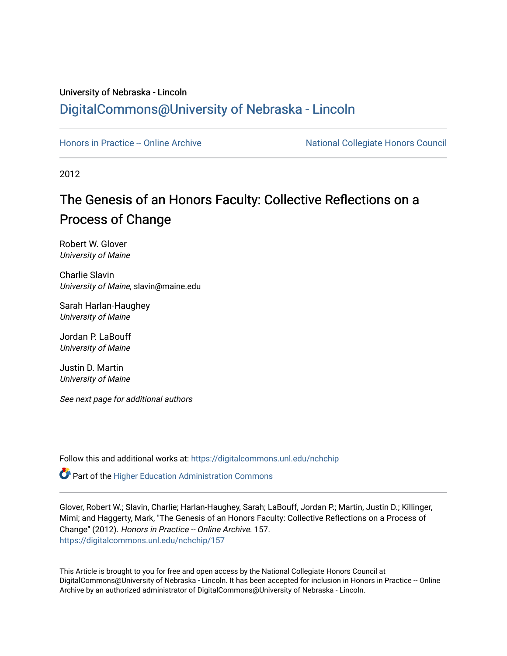### University of Nebraska - Lincoln [DigitalCommons@University of Nebraska - Lincoln](https://digitalcommons.unl.edu/)

[Honors in Practice -- Online Archive](https://digitalcommons.unl.edu/nchchip) National Collegiate Honors Council

2012

## The Genesis of an Honors Faculty: Collective Reflections on a Process of Change

Robert W. Glover University of Maine

Charlie Slavin University of Maine, slavin@maine.edu

Sarah Harlan-Haughey University of Maine

Jordan P. LaBouff University of Maine

Justin D. Martin University of Maine

See next page for additional authors

Follow this and additional works at: [https://digitalcommons.unl.edu/nchchip](https://digitalcommons.unl.edu/nchchip?utm_source=digitalcommons.unl.edu%2Fnchchip%2F157&utm_medium=PDF&utm_campaign=PDFCoverPages) 

**C** Part of the Higher Education Administration Commons

Glover, Robert W.; Slavin, Charlie; Harlan-Haughey, Sarah; LaBouff, Jordan P.; Martin, Justin D.; Killinger, Mimi; and Haggerty, Mark, "The Genesis of an Honors Faculty: Collective Reflections on a Process of Change" (2012). Honors in Practice -- Online Archive. 157. [https://digitalcommons.unl.edu/nchchip/157](https://digitalcommons.unl.edu/nchchip/157?utm_source=digitalcommons.unl.edu%2Fnchchip%2F157&utm_medium=PDF&utm_campaign=PDFCoverPages) 

This Article is brought to you for free and open access by the National Collegiate Honors Council at DigitalCommons@University of Nebraska - Lincoln. It has been accepted for inclusion in Honors in Practice -- Online Archive by an authorized administrator of DigitalCommons@University of Nebraska - Lincoln.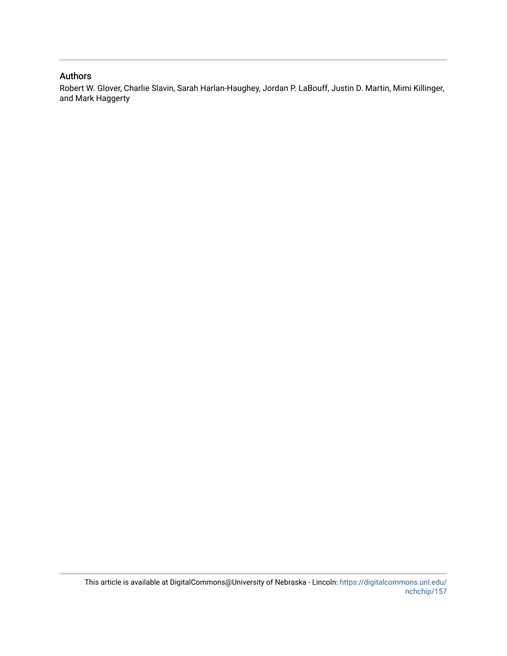#### Authors

Robert W. Glover, Charlie Slavin, Sarah Harlan-Haughey, Jordan P. LaBouff, Justin D. Martin, Mimi Killinger, and Mark Haggerty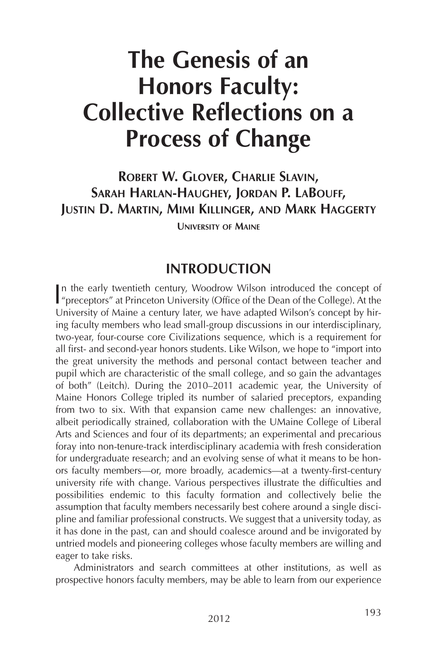# **The Genesis of an Honors Faculty: Collective Reflections on a Process of Change**

**ROBERT W. GLOVER, CHARLIE SLAVIN, SARAH HARLAN-HAUGHEY, JORDAN P. LABOUFF, JUSTIN D. MARTIN, MIMI KILLINGER, AND MARK HAGGERTY**

**UNIVERSITY OF MAINE**

### **INTRODUCTION**

In the early twentieth century, Woodrow Wilson introduced the concept of "preceptors" at Princeton University (Office of the Dean of the College). At the n the early twentieth century, Woodrow Wilson introduced the concept of University of Maine a century later, we have adapted Wilson's concept by hiring faculty members who lead small-group discussions in our interdisciplinary, two-year, four-course core Civilizations sequence, which is a requirement for all first- and second-year honors students. Like Wilson, we hope to "import into the great university the methods and personal contact between teacher and pupil which are characteristic of the small college, and so gain the advantages of both" (Leitch). During the 2010–2011 academic year, the University of Maine Honors College tripled its number of salaried preceptors, expanding from two to six. With that expansion came new challenges: an innovative, albeit periodically strained, collaboration with the UMaine College of Liberal Arts and Sciences and four of its departments; an experimental and precarious foray into non-tenure-track interdisciplinary academia with fresh consideration for undergraduate research; and an evolving sense of what it means to be honors faculty members—or, more broadly, academics—at a twenty-first-century university rife with change. Various perspectives illustrate the difficulties and possibilities endemic to this faculty formation and collectively belie the assumption that faculty members necessarily best cohere around a single discipline and familiar professional constructs. We suggest that a university today, as it has done in the past, can and should coalesce around and be invigorated by untried models and pioneering colleges whose faculty members are willing and eager to take risks.

Administrators and search committees at other institutions, as well as prospective honors faculty members, may be able to learn from our experience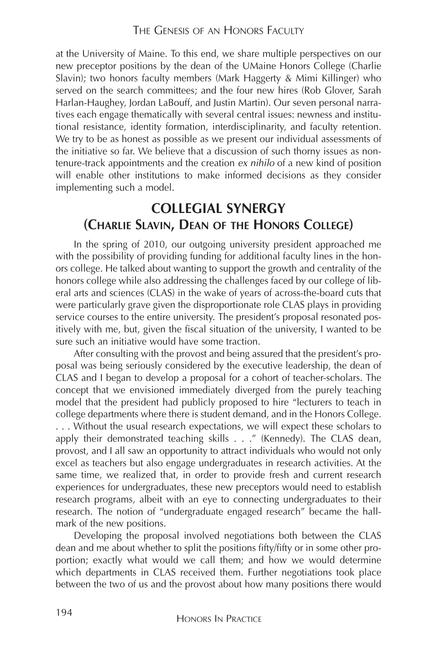at the University of Maine. To this end, we share multiple perspectives on our new preceptor positions by the dean of the UMaine Honors College (Charlie Slavin); two honors faculty members (Mark Haggerty & Mimi Killinger) who served on the search committees; and the four new hires (Rob Glover, Sarah Harlan-Haughey, Jordan LaBouff, and Justin Martin). Our seven personal narratives each engage thematically with several central issues: newness and institutional resistance, identity formation, interdisciplinarity, and faculty retention. We try to be as honest as possible as we present our individual assessments of the initiative so far. We believe that a discussion of such thorny issues as nontenure-track appointments and the creation *ex nihilo* of a new kind of position will enable other institutions to make informed decisions as they consider implementing such a model.

### **COLLEGIAL SYNERGY (CHARLIE SLAVIN, DEAN OF THE HONORS COLLEGE)**

In the spring of 2010, our outgoing university president approached me with the possibility of providing funding for additional faculty lines in the honors college. He talked about wanting to support the growth and centrality of the honors college while also addressing the challenges faced by our college of liberal arts and sciences (CLAS) in the wake of years of across-the-board cuts that were particularly grave given the disproportionate role CLAS plays in providing service courses to the entire university. The president's proposal resonated positively with me, but, given the fiscal situation of the university, I wanted to be sure such an initiative would have some traction.

After consulting with the provost and being assured that the president's proposal was being seriously considered by the executive leadership, the dean of CLAS and I began to develop a proposal for a cohort of teacher-scholars. The concept that we envisioned immediately diverged from the purely teaching model that the president had publicly proposed to hire "lecturers to teach in college departments where there is student demand, and in the Honors College. . . . Without the usual research expectations, we will expect these scholars to apply their demonstrated teaching skills . . ." (Kennedy). The CLAS dean, provost, and I all saw an opportunity to attract individuals who would not only excel as teachers but also engage undergraduates in research activities. At the same time, we realized that, in order to provide fresh and current research experiences for undergraduates, these new preceptors would need to establish research programs, albeit with an eye to connecting undergraduates to their research. The notion of "undergraduate engaged research" became the hallmark of the new positions.

Developing the proposal involved negotiations both between the CLAS dean and me about whether to split the positions fifty/fifty or in some other proportion; exactly what would we call them; and how we would determine which departments in CLAS received them. Further negotiations took place between the two of us and the provost about how many positions there would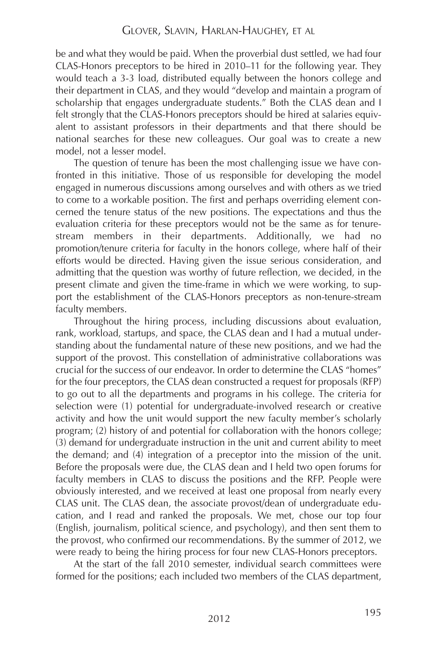be and what they would be paid. When the proverbial dust settled, we had four CLAS-Honors preceptors to be hired in 2010–11 for the following year. They would teach a 3-3 load, distributed equally between the honors college and their department in CLAS, and they would "develop and maintain a program of scholarship that engages undergraduate students." Both the CLAS dean and I felt strongly that the CLAS-Honors preceptors should be hired at salaries equivalent to assistant professors in their departments and that there should be national searches for these new colleagues. Our goal was to create a new model, not a lesser model.

The question of tenure has been the most challenging issue we have confronted in this initiative. Those of us responsible for developing the model engaged in numerous discussions among ourselves and with others as we tried to come to a workable position. The first and perhaps overriding element concerned the tenure status of the new positions. The expectations and thus the evaluation criteria for these preceptors would not be the same as for tenurestream members in their departments. Additionally, we had no promotion/tenure criteria for faculty in the honors college, where half of their efforts would be directed. Having given the issue serious consideration, and admitting that the question was worthy of future reflection, we decided, in the present climate and given the time-frame in which we were working, to support the establishment of the CLAS-Honors preceptors as non-tenure-stream faculty members.

Throughout the hiring process, including discussions about evaluation, rank, workload, startups, and space, the CLAS dean and I had a mutual understanding about the fundamental nature of these new positions, and we had the support of the provost. This constellation of administrative collaborations was crucial for the success of our endeavor. In order to determine the CLAS "homes" for the four preceptors, the CLAS dean constructed a request for proposals (RFP) to go out to all the departments and programs in his college. The criteria for selection were (1) potential for undergraduate-involved research or creative activity and how the unit would support the new faculty member's scholarly program; (2) history of and potential for collaboration with the honors college; (3) demand for undergraduate instruction in the unit and current ability to meet the demand; and (4) integration of a preceptor into the mission of the unit. Before the proposals were due, the CLAS dean and I held two open forums for faculty members in CLAS to discuss the positions and the RFP. People were obviously interested, and we received at least one proposal from nearly every CLAS unit. The CLAS dean, the associate provost/dean of undergraduate education, and I read and ranked the proposals. We met, chose our top four (English, journalism, political science, and psychology), and then sent them to the provost, who confirmed our recommendations. By the summer of 2012, we were ready to being the hiring process for four new CLAS-Honors preceptors.

At the start of the fall 2010 semester, individual search committees were formed for the positions; each included two members of the CLAS department,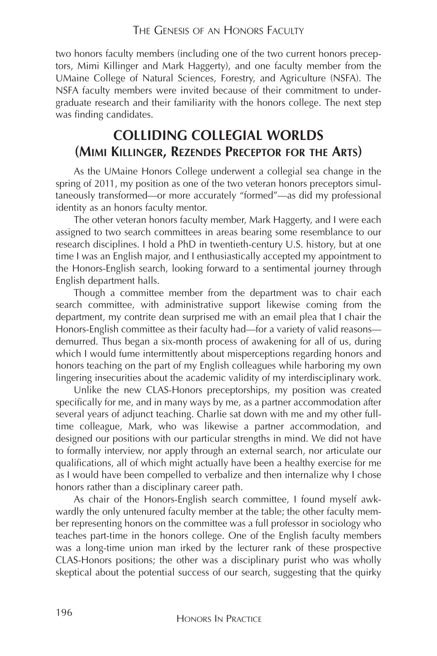two honors faculty members (including one of the two current honors preceptors, Mimi Killinger and Mark Haggerty), and one faculty member from the UMaine College of Natural Sciences, Forestry, and Agriculture (NSFA). The NSFA faculty members were invited because of their commitment to undergraduate research and their familiarity with the honors college. The next step was finding candidates.

### **COLLIDING COLLEGIAL WORLDS (MIMI KILLINGER, REZENDES PRECEPTOR FOR THE ARTS)**

As the UMaine Honors College underwent a collegial sea change in the spring of 2011, my position as one of the two veteran honors preceptors simultaneously transformed—or more accurately "formed"—as did my professional identity as an honors faculty mentor.

The other veteran honors faculty member, Mark Haggerty, and I were each assigned to two search committees in areas bearing some resemblance to our research disciplines. I hold a PhD in twentieth-century U.S. history, but at one time I was an English major, and I enthusiastically accepted my appointment to the Honors-English search, looking forward to a sentimental journey through English department halls.

Though a committee member from the department was to chair each search committee, with administrative support likewise coming from the department, my contrite dean surprised me with an email plea that I chair the Honors-English committee as their faculty had—for a variety of valid reasons demurred. Thus began a six-month process of awakening for all of us, during which I would fume intermittently about misperceptions regarding honors and honors teaching on the part of my English colleagues while harboring my own lingering insecurities about the academic validity of my interdisciplinary work.

Unlike the new CLAS-Honors preceptorships, my position was created specifically for me, and in many ways by me, as a partner accommodation after several years of adjunct teaching. Charlie sat down with me and my other fulltime colleague, Mark, who was likewise a partner accommodation, and designed our positions with our particular strengths in mind. We did not have to formally interview, nor apply through an external search, nor articulate our qualifications, all of which might actually have been a healthy exercise for me as I would have been compelled to verbalize and then internalize why I chose honors rather than a disciplinary career path.

As chair of the Honors-English search committee, I found myself awkwardly the only untenured faculty member at the table; the other faculty member representing honors on the committee was a full professor in sociology who teaches part-time in the honors college. One of the English faculty members was a long-time union man irked by the lecturer rank of these prospective CLAS-Honors positions; the other was a disciplinary purist who was wholly skeptical about the potential success of our search, suggesting that the quirky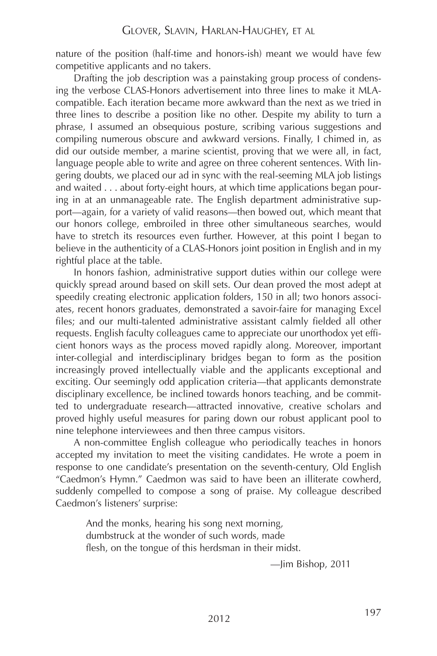nature of the position (half-time and honors-ish) meant we would have few competitive applicants and no takers.

Drafting the job description was a painstaking group process of condensing the verbose CLAS-Honors advertisement into three lines to make it MLAcompatible. Each iteration became more awkward than the next as we tried in three lines to describe a position like no other. Despite my ability to turn a phrase, I assumed an obsequious posture, scribing various suggestions and compiling numerous obscure and awkward versions. Finally, I chimed in, as did our outside member, a marine scientist, proving that we were all, in fact, language people able to write and agree on three coherent sentences. With lingering doubts, we placed our ad in sync with the real-seeming MLA job listings and waited . . . about forty-eight hours, at which time applications began pouring in at an unmanageable rate. The English department administrative support—again, for a variety of valid reasons—then bowed out, which meant that our honors college, embroiled in three other simultaneous searches, would have to stretch its resources even further. However, at this point I began to believe in the authenticity of a CLAS-Honors joint position in English and in my rightful place at the table.

In honors fashion, administrative support duties within our college were quickly spread around based on skill sets. Our dean proved the most adept at speedily creating electronic application folders, 150 in all; two honors associates, recent honors graduates, demonstrated a savoir-faire for managing Excel files; and our multi-talented administrative assistant calmly fielded all other requests. English faculty colleagues came to appreciate our unorthodox yet efficient honors ways as the process moved rapidly along. Moreover, important inter-collegial and interdisciplinary bridges began to form as the position increasingly proved intellectually viable and the applicants exceptional and exciting. Our seemingly odd application criteria—that applicants demonstrate disciplinary excellence, be inclined towards honors teaching, and be committed to undergraduate research—attracted innovative, creative scholars and proved highly useful measures for paring down our robust applicant pool to nine telephone interviewees and then three campus visitors.

A non-committee English colleague who periodically teaches in honors accepted my invitation to meet the visiting candidates. He wrote a poem in response to one candidate's presentation on the seventh-century, Old English "Caedmon's Hymn." Caedmon was said to have been an illiterate cowherd, suddenly compelled to compose a song of praise. My colleague described Caedmon's listeners' surprise:

And the monks, hearing his song next morning, dumbstruck at the wonder of such words, made flesh, on the tongue of this herdsman in their midst.

—Jim Bishop, 2011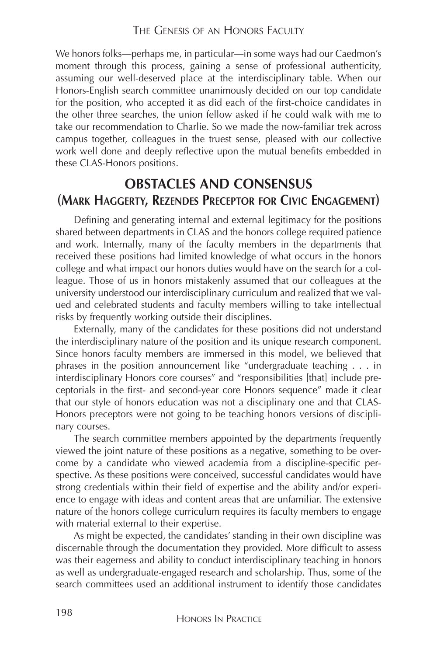We honors folks—perhaps me, in particular—in some ways had our Caedmon's moment through this process, gaining a sense of professional authenticity, assuming our well-deserved place at the interdisciplinary table. When our Honors-English search committee unanimously decided on our top candidate for the position, who accepted it as did each of the first-choice candidates in the other three searches, the union fellow asked if he could walk with me to take our recommendation to Charlie. So we made the now-familiar trek across campus together, colleagues in the truest sense, pleased with our collective work well done and deeply reflective upon the mutual benefits embedded in these CLAS-Honors positions.

### **OBSTACLES AND CONSENSUS (MARK HAGGERTY, REZENDES PRECEPTOR FOR CIVIC ENGAGEMENT)**

Defining and generating internal and external legitimacy for the positions shared between departments in CLAS and the honors college required patience and work. Internally, many of the faculty members in the departments that received these positions had limited knowledge of what occurs in the honors college and what impact our honors duties would have on the search for a colleague. Those of us in honors mistakenly assumed that our colleagues at the university understood our interdisciplinary curriculum and realized that we valued and celebrated students and faculty members willing to take intellectual risks by frequently working outside their disciplines.

Externally, many of the candidates for these positions did not understand the interdisciplinary nature of the position and its unique research component. Since honors faculty members are immersed in this model, we believed that phrases in the position announcement like "undergraduate teaching . . . in interdisciplinary Honors core courses" and "responsibilities [that] include preceptorials in the first- and second-year core Honors sequence" made it clear that our style of honors education was not a disciplinary one and that CLAS-Honors preceptors were not going to be teaching honors versions of disciplinary courses.

The search committee members appointed by the departments frequently viewed the joint nature of these positions as a negative, something to be overcome by a candidate who viewed academia from a discipline-specific perspective. As these positions were conceived, successful candidates would have strong credentials within their field of expertise and the ability and/or experience to engage with ideas and content areas that are unfamiliar. The extensive nature of the honors college curriculum requires its faculty members to engage with material external to their expertise.

As might be expected, the candidates' standing in their own discipline was discernable through the documentation they provided. More difficult to assess was their eagerness and ability to conduct interdisciplinary teaching in honors as well as undergraduate-engaged research and scholarship. Thus, some of the search committees used an additional instrument to identify those candidates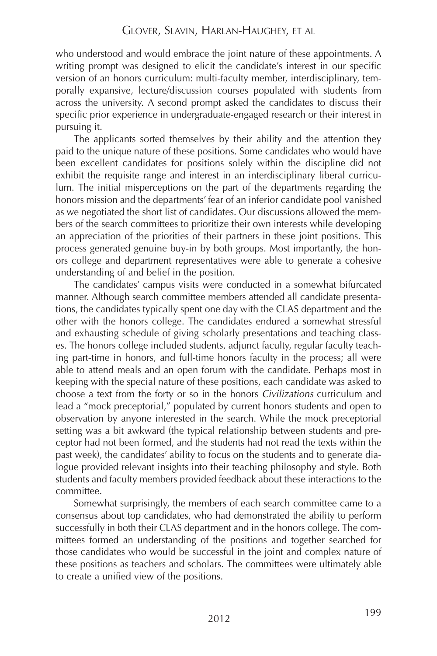who understood and would embrace the joint nature of these appointments. A writing prompt was designed to elicit the candidate's interest in our specific version of an honors curriculum: multi-faculty member, interdisciplinary, temporally expansive, lecture/discussion courses populated with students from across the university. A second prompt asked the candidates to discuss their specific prior experience in undergraduate-engaged research or their interest in pursuing it.

The applicants sorted themselves by their ability and the attention they paid to the unique nature of these positions. Some candidates who would have been excellent candidates for positions solely within the discipline did not exhibit the requisite range and interest in an interdisciplinary liberal curriculum. The initial misperceptions on the part of the departments regarding the honors mission and the departments' fear of an inferior candidate pool vanished as we negotiated the short list of candidates. Our discussions allowed the members of the search committees to prioritize their own interests while developing an appreciation of the priorities of their partners in these joint positions. This process generated genuine buy-in by both groups. Most importantly, the honors college and department representatives were able to generate a cohesive understanding of and belief in the position.

The candidates' campus visits were conducted in a somewhat bifurcated manner. Although search committee members attended all candidate presentations, the candidates typically spent one day with the CLAS department and the other with the honors college. The candidates endured a somewhat stressful and exhausting schedule of giving scholarly presentations and teaching classes. The honors college included students, adjunct faculty, regular faculty teaching part-time in honors, and full-time honors faculty in the process; all were able to attend meals and an open forum with the candidate. Perhaps most in keeping with the special nature of these positions, each candidate was asked to choose a text from the forty or so in the honors *Civilizations* curriculum and lead a "mock preceptorial," populated by current honors students and open to observation by anyone interested in the search. While the mock preceptorial setting was a bit awkward (the typical relationship between students and preceptor had not been formed, and the students had not read the texts within the past week), the candidates' ability to focus on the students and to generate dialogue provided relevant insights into their teaching philosophy and style. Both students and faculty members provided feedback about these interactions to the committee.

Somewhat surprisingly, the members of each search committee came to a consensus about top candidates, who had demonstrated the ability to perform successfully in both their CLAS department and in the honors college. The committees formed an understanding of the positions and together searched for those candidates who would be successful in the joint and complex nature of these positions as teachers and scholars. The committees were ultimately able to create a unified view of the positions.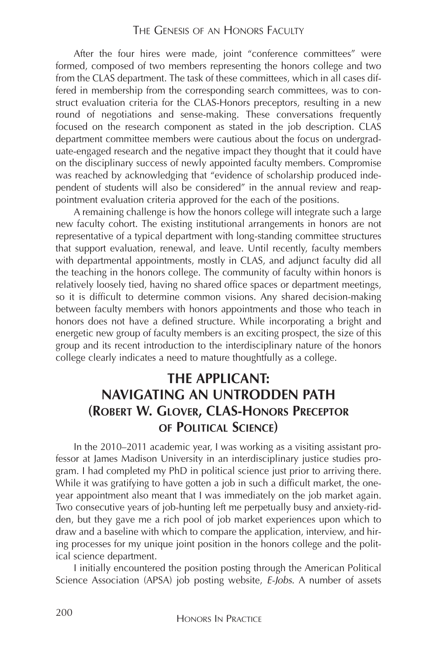After the four hires were made, joint "conference committees" were formed, composed of two members representing the honors college and two from the CLAS department. The task of these committees, which in all cases differed in membership from the corresponding search committees, was to construct evaluation criteria for the CLAS-Honors preceptors, resulting in a new round of negotiations and sense-making. These conversations frequently focused on the research component as stated in the job description. CLAS department committee members were cautious about the focus on undergraduate-engaged research and the negative impact they thought that it could have on the disciplinary success of newly appointed faculty members. Compromise was reached by acknowledging that "evidence of scholarship produced independent of students will also be considered" in the annual review and reappointment evaluation criteria approved for the each of the positions.

A remaining challenge is how the honors college will integrate such a large new faculty cohort. The existing institutional arrangements in honors are not representative of a typical department with long-standing committee structures that support evaluation, renewal, and leave. Until recently, faculty members with departmental appointments, mostly in CLAS, and adjunct faculty did all the teaching in the honors college. The community of faculty within honors is relatively loosely tied, having no shared office spaces or department meetings, so it is difficult to determine common visions. Any shared decision-making between faculty members with honors appointments and those who teach in honors does not have a defined structure. While incorporating a bright and energetic new group of faculty members is an exciting prospect, the size of this group and its recent introduction to the interdisciplinary nature of the honors college clearly indicates a need to mature thoughtfully as a college.

### **THE APPLICANT: NAVIGATING AN UNTRODDEN PATH (ROBERT W. GLOVER, CLAS-HONORS PRECEPTOR OF POLITICAL SCIENCE)**

In the 2010–2011 academic year, I was working as a visiting assistant professor at James Madison University in an interdisciplinary justice studies program. I had completed my PhD in political science just prior to arriving there. While it was gratifying to have gotten a job in such a difficult market, the oneyear appointment also meant that I was immediately on the job market again. Two consecutive years of job-hunting left me perpetually busy and anxiety-ridden, but they gave me a rich pool of job market experiences upon which to draw and a baseline with which to compare the application, interview, and hiring processes for my unique joint position in the honors college and the political science department.

I initially encountered the position posting through the American Political Science Association (APSA) job posting website, *E-Jobs*. A number of assets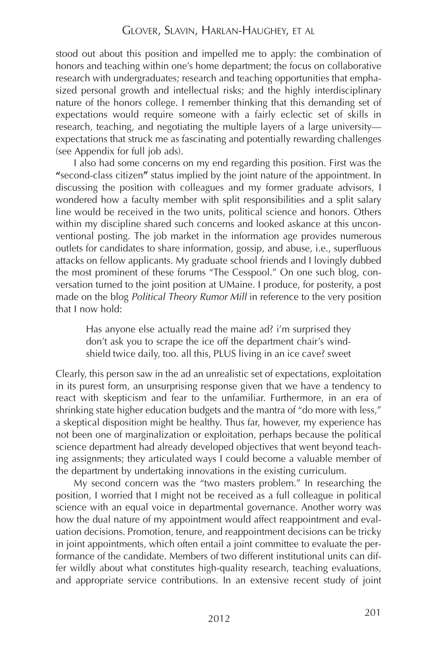#### GLOVER, SLAVIN, HARLAN-HAUGHEY, ET AL

stood out about this position and impelled me to apply: the combination of honors and teaching within one's home department; the focus on collaborative research with undergraduates; research and teaching opportunities that emphasized personal growth and intellectual risks; and the highly interdisciplinary nature of the honors college. I remember thinking that this demanding set of expectations would require someone with a fairly eclectic set of skills in research, teaching, and negotiating the multiple layers of a large university expectations that struck me as fascinating and potentially rewarding challenges (see Appendix for full job ads).

I also had some concerns on my end regarding this position. First was the **"**second-class citizen**"** status implied by the joint nature of the appointment. In discussing the position with colleagues and my former graduate advisors, I wondered how a faculty member with split responsibilities and a split salary line would be received in the two units, political science and honors. Others within my discipline shared such concerns and looked askance at this unconventional posting. The job market in the information age provides numerous outlets for candidates to share information, gossip, and abuse, i.e., superfluous attacks on fellow applicants. My graduate school friends and I lovingly dubbed the most prominent of these forums "The Cesspool." On one such blog, conversation turned to the joint position at UMaine. I produce, for posterity, a post made on the blog *Political Theory Rumor Mill* in reference to the very position that I now hold:

Has anyone else actually read the maine ad? i'm surprised they don't ask you to scrape the ice off the department chair's windshield twice daily, too. all this, PLUS living in an ice cave? sweet

Clearly, this person saw in the ad an unrealistic set of expectations, exploitation in its purest form, an unsurprising response given that we have a tendency to react with skepticism and fear to the unfamiliar. Furthermore, in an era of shrinking state higher education budgets and the mantra of "do more with less," a skeptical disposition might be healthy. Thus far, however, my experience has not been one of marginalization or exploitation, perhaps because the political science department had already developed objectives that went beyond teaching assignments; they articulated ways I could become a valuable member of the department by undertaking innovations in the existing curriculum.

My second concern was the "two masters problem." In researching the position, I worried that I might not be received as a full colleague in political science with an equal voice in departmental governance. Another worry was how the dual nature of my appointment would affect reappointment and evaluation decisions. Promotion, tenure, and reappointment decisions can be tricky in joint appointments, which often entail a joint committee to evaluate the performance of the candidate. Members of two different institutional units can differ wildly about what constitutes high-quality research, teaching evaluations, and appropriate service contributions. In an extensive recent study of joint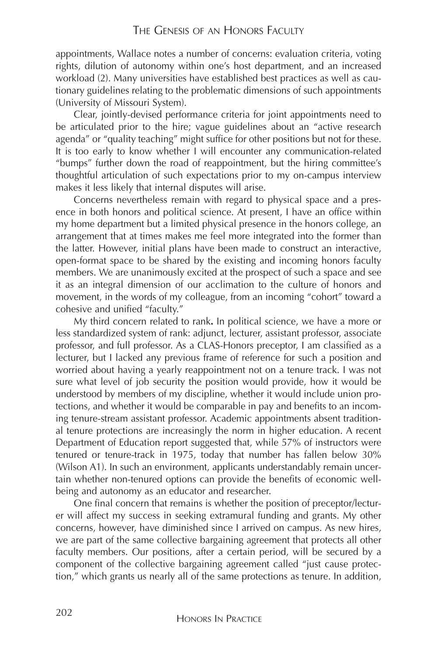#### THE GENESIS OF AN HONORS FACULTY

appointments, Wallace notes a number of concerns: evaluation criteria, voting rights, dilution of autonomy within one's host department, and an increased workload (2). Many universities have established best practices as well as cautionary guidelines relating to the problematic dimensions of such appointments (University of Missouri System).

Clear, jointly-devised performance criteria for joint appointments need to be articulated prior to the hire; vague guidelines about an "active research agenda" or "quality teaching" might suffice for other positions but not for these. It is too early to know whether I will encounter any communication-related "bumps" further down the road of reappointment, but the hiring committee's thoughtful articulation of such expectations prior to my on-campus interview makes it less likely that internal disputes will arise.

Concerns nevertheless remain with regard to physical space and a presence in both honors and political science. At present, I have an office within my home department but a limited physical presence in the honors college, an arrangement that at times makes me feel more integrated into the former than the latter. However, initial plans have been made to construct an interactive, open-format space to be shared by the existing and incoming honors faculty members. We are unanimously excited at the prospect of such a space and see it as an integral dimension of our acclimation to the culture of honors and movement, in the words of my colleague, from an incoming "cohort" toward a cohesive and unified "faculty."

My third concern related to rank**.** In political science, we have a more or less standardized system of rank: adjunct, lecturer, assistant professor, associate professor, and full professor. As a CLAS-Honors preceptor, I am classified as a lecturer, but I lacked any previous frame of reference for such a position and worried about having a yearly reappointment not on a tenure track. I was not sure what level of job security the position would provide, how it would be understood by members of my discipline, whether it would include union protections, and whether it would be comparable in pay and benefits to an incoming tenure-stream assistant professor. Academic appointments absent traditional tenure protections are increasingly the norm in higher education. A recent Department of Education report suggested that, while 57% of instructors were tenured or tenure-track in 1975, today that number has fallen below 30% (Wilson A1). In such an environment, applicants understandably remain uncertain whether non-tenured options can provide the benefits of economic wellbeing and autonomy as an educator and researcher.

One final concern that remains is whether the position of preceptor/lecturer will affect my success in seeking extramural funding and grants. My other concerns, however, have diminished since I arrived on campus. As new hires, we are part of the same collective bargaining agreement that protects all other faculty members. Our positions, after a certain period, will be secured by a component of the collective bargaining agreement called "just cause protection," which grants us nearly all of the same protections as tenure. In addition,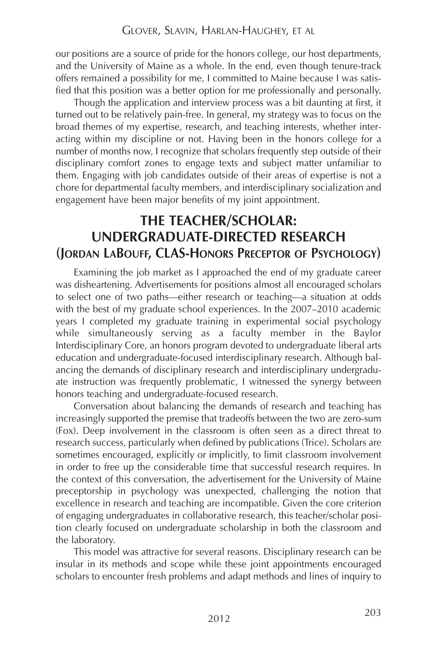our positions are a source of pride for the honors college, our host departments, and the University of Maine as a whole. In the end, even though tenure-track offers remained a possibility for me, I committed to Maine because I was satisfied that this position was a better option for me professionally and personally.

Though the application and interview process was a bit daunting at first, it turned out to be relatively pain-free. In general, my strategy was to focus on the broad themes of my expertise, research, and teaching interests, whether interacting within my discipline or not. Having been in the honors college for a number of months now, I recognize that scholars frequently step outside of their disciplinary comfort zones to engage texts and subject matter unfamiliar to them. Engaging with job candidates outside of their areas of expertise is not a chore for departmental faculty members, and interdisciplinary socialization and engagement have been major benefits of my joint appointment.

### **THE TEACHER/SCHOLAR: UNDERGRADUATE-DIRECTED RESEARCH (JORDAN LABOUFF, CLAS-HONORS PRECEPTOR OF PSYCHOLOGY)**

Examining the job market as I approached the end of my graduate career was disheartening. Advertisements for positions almost all encouraged scholars to select one of two paths—either research or teaching—a situation at odds with the best of my graduate school experiences. In the 2007–2010 academic years I completed my graduate training in experimental social psychology while simultaneously serving as a faculty member in the Baylor Interdisciplinary Core, an honors program devoted to undergraduate liberal arts education and undergraduate-focused interdisciplinary research. Although balancing the demands of disciplinary research and interdisciplinary undergraduate instruction was frequently problematic, I witnessed the synergy between honors teaching and undergraduate-focused research.

Conversation about balancing the demands of research and teaching has increasingly supported the premise that tradeoffs between the two are zero-sum (Fox). Deep involvement in the classroom is often seen as a direct threat to research success, particularly when defined by publications (Trice). Scholars are sometimes encouraged, explicitly or implicitly, to limit classroom involvement in order to free up the considerable time that successful research requires. In the context of this conversation, the advertisement for the University of Maine preceptorship in psychology was unexpected, challenging the notion that excellence in research and teaching are incompatible. Given the core criterion of engaging undergraduates in collaborative research, this teacher/scholar position clearly focused on undergraduate scholarship in both the classroom and the laboratory.

This model was attractive for several reasons. Disciplinary research can be insular in its methods and scope while these joint appointments encouraged scholars to encounter fresh problems and adapt methods and lines of inquiry to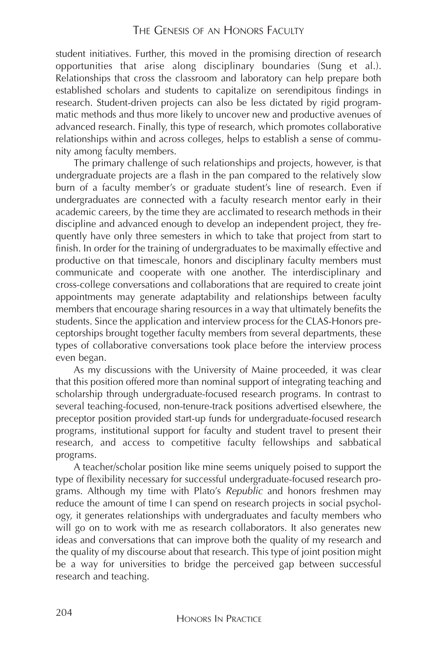#### THE GENESIS OF AN HONORS FACULTY

student initiatives. Further, this moved in the promising direction of research opportunities that arise along disciplinary boundaries (Sung et al.). Relationships that cross the classroom and laboratory can help prepare both established scholars and students to capitalize on serendipitous findings in research. Student-driven projects can also be less dictated by rigid programmatic methods and thus more likely to uncover new and productive avenues of advanced research. Finally, this type of research, which promotes collaborative relationships within and across colleges, helps to establish a sense of community among faculty members.

The primary challenge of such relationships and projects, however, is that undergraduate projects are a flash in the pan compared to the relatively slow burn of a faculty member's or graduate student's line of research. Even if undergraduates are connected with a faculty research mentor early in their academic careers, by the time they are acclimated to research methods in their discipline and advanced enough to develop an independent project, they frequently have only three semesters in which to take that project from start to finish. In order for the training of undergraduates to be maximally effective and productive on that timescale, honors and disciplinary faculty members must communicate and cooperate with one another. The interdisciplinary and cross-college conversations and collaborations that are required to create joint appointments may generate adaptability and relationships between faculty members that encourage sharing resources in a way that ultimately benefits the students. Since the application and interview process for the CLAS-Honors preceptorships brought together faculty members from several departments, these types of collaborative conversations took place before the interview process even began.

As my discussions with the University of Maine proceeded, it was clear that this position offered more than nominal support of integrating teaching and scholarship through undergraduate-focused research programs. In contrast to several teaching-focused, non-tenure-track positions advertised elsewhere, the preceptor position provided start-up funds for undergraduate-focused research programs, institutional support for faculty and student travel to present their research, and access to competitive faculty fellowships and sabbatical programs.

A teacher/scholar position like mine seems uniquely poised to support the type of flexibility necessary for successful undergraduate-focused research programs. Although my time with Plato's *Republic* and honors freshmen may reduce the amount of time I can spend on research projects in social psychology, it generates relationships with undergraduates and faculty members who will go on to work with me as research collaborators. It also generates new ideas and conversations that can improve both the quality of my research and the quality of my discourse about that research. This type of joint position might be a way for universities to bridge the perceived gap between successful research and teaching.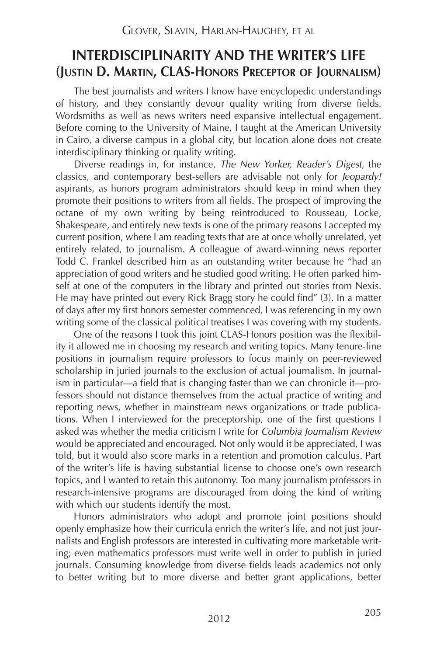### **INTERDISCIPLINARITY AND THE WRITER'S LIFE (JUSTIN D. MARTIN, CLAS-HONORS PRECEPTOR OF JOURNALISM)**

The best journalists and writers I know have encyclopedic understandings of history, and they constantly devour quality writing from diverse fields. Wordsmiths as well as news writers need expansive intellectual engagement. Before coming to the University of Maine, I taught at the American University in Cairo, a diverse campus in a global city, but location alone does not create interdisciplinary thinking or quality writing.

Diverse readings in, for instance, *The New Yorker, Reader's Digest*, the classics, and contemporary best-sellers are advisable not only for *Jeopardy!* aspirants, as honors program administrators should keep in mind when they promote their positions to writers from all fields. The prospect of improving the octane of my own writing by being reintroduced to Rousseau, Locke, Shakespeare, and entirely new texts is one of the primary reasons I accepted my current position, where I am reading texts that are at once wholly unrelated, yet entirely related, to journalism. A colleague of award-winning news reporter Todd C. Frankel described him as an outstanding writer because he "had an appreciation of good writers and he studied good writing. He often parked himself at one of the computers in the library and printed out stories from Nexis. He may have printed out every Rick Bragg story he could find" (3). In a matter of days after my first honors semester commenced, I was referencing in my own writing some of the classical political treatises I was covering with my students.

One of the reasons I took this joint CLAS-Honors position was the flexibility it allowed me in choosing my research and writing topics. Many tenure-line positions in journalism require professors to focus mainly on peer-reviewed scholarship in juried journals to the exclusion of actual journalism. In journalism in particular—a field that is changing faster than we can chronicle it—professors should not distance themselves from the actual practice of writing and reporting news, whether in mainstream news organizations or trade publications. When I interviewed for the preceptorship, one of the first questions I asked was whether the media criticism I write for *Columbia Journalism Review* would be appreciated and encouraged. Not only would it be appreciated, I was told, but it would also score marks in a retention and promotion calculus. Part of the writer's life is having substantial license to choose one's own research topics, and I wanted to retain this autonomy. Too many journalism professors in research-intensive programs are discouraged from doing the kind of writing with which our students identify the most.

Honors administrators who adopt and promote joint positions should openly emphasize how their curricula enrich the writer's life, and not just journalists and English professors are interested in cultivating more marketable writing; even mathematics professors must write well in order to publish in juried journals. Consuming knowledge from diverse fields leads academics not only to better writing but to more diverse and better grant applications, better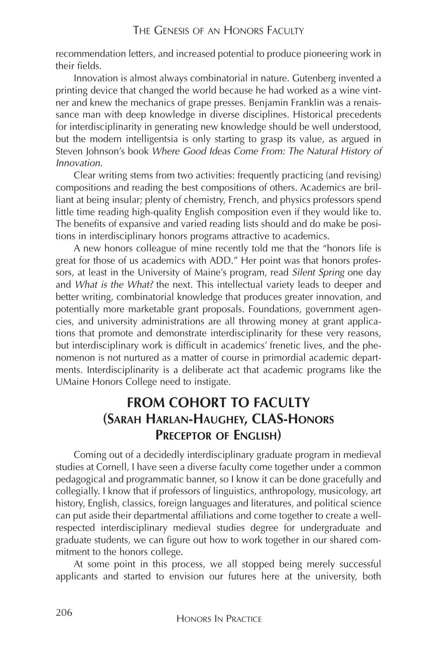recommendation letters, and increased potential to produce pioneering work in their fields.

Innovation is almost always combinatorial in nature. Gutenberg invented a printing device that changed the world because he had worked as a wine vintner and knew the mechanics of grape presses. Benjamin Franklin was a renaissance man with deep knowledge in diverse disciplines. Historical precedents for interdisciplinarity in generating new knowledge should be well understood, but the modern intelligentsia is only starting to grasp its value, as argued in Steven Johnson's book *Where Good Ideas Come From: The Natural History of Innovation*.

Clear writing stems from two activities: frequently practicing (and revising) compositions and reading the best compositions of others. Academics are brilliant at being insular; plenty of chemistry, French, and physics professors spend little time reading high-quality English composition even if they would like to. The benefits of expansive and varied reading lists should and do make be positions in interdisciplinary honors programs attractive to academics.

A new honors colleague of mine recently told me that the "honors life is great for those of us academics with ADD." Her point was that honors professors, at least in the University of Maine's program, read *Silent Spring* one day and *What is the What?* the next. This intellectual variety leads to deeper and better writing, combinatorial knowledge that produces greater innovation, and potentially more marketable grant proposals. Foundations, government agencies, and university administrations are all throwing money at grant applications that promote and demonstrate interdisciplinarity for these very reasons, but interdisciplinary work is difficult in academics' frenetic lives, and the phenomenon is not nurtured as a matter of course in primordial academic departments. Interdisciplinarity is a deliberate act that academic programs like the UMaine Honors College need to instigate.

### **FROM COHORT TO FACULTY (SARAH HARLAN-HAUGHEY, CLAS-HONORS PRECEPTOR OF ENGLISH)**

Coming out of a decidedly interdisciplinary graduate program in medieval studies at Cornell, I have seen a diverse faculty come together under a common pedagogical and programmatic banner, so I know it can be done gracefully and collegially. I know that if professors of linguistics, anthropology, musicology, art history, English, classics, foreign languages and literatures, and political science can put aside their departmental affiliations and come together to create a wellrespected interdisciplinary medieval studies degree for undergraduate and graduate students, we can figure out how to work together in our shared commitment to the honors college.

At some point in this process, we all stopped being merely successful applicants and started to envision our futures here at the university, both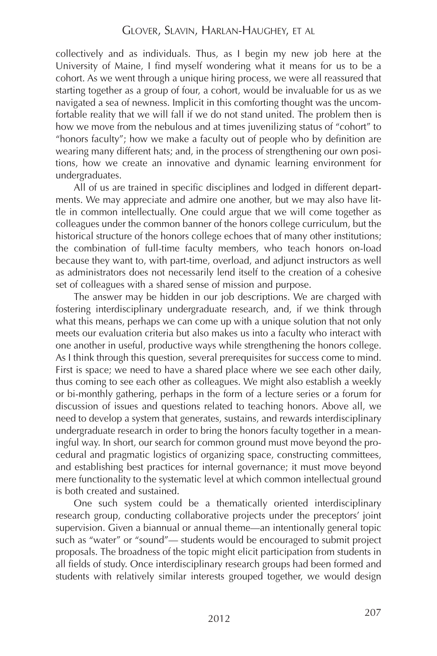collectively and as individuals. Thus, as I begin my new job here at the University of Maine, I find myself wondering what it means for us to be a cohort. As we went through a unique hiring process, we were all reassured that starting together as a group of four, a cohort, would be invaluable for us as we navigated a sea of newness. Implicit in this comforting thought was the uncomfortable reality that we will fall if we do not stand united. The problem then is how we move from the nebulous and at times juvenilizing status of "cohort" to "honors faculty"; how we make a faculty out of people who by definition are wearing many different hats; and, in the process of strengthening our own positions, how we create an innovative and dynamic learning environment for undergraduates.

All of us are trained in specific disciplines and lodged in different departments. We may appreciate and admire one another, but we may also have little in common intellectually. One could argue that we will come together as colleagues under the common banner of the honors college curriculum, but the historical structure of the honors college echoes that of many other institutions; the combination of full-time faculty members, who teach honors on-load because they want to, with part-time, overload, and adjunct instructors as well as administrators does not necessarily lend itself to the creation of a cohesive set of colleagues with a shared sense of mission and purpose.

The answer may be hidden in our job descriptions. We are charged with fostering interdisciplinary undergraduate research, and, if we think through what this means, perhaps we can come up with a unique solution that not only meets our evaluation criteria but also makes us into a faculty who interact with one another in useful, productive ways while strengthening the honors college. As I think through this question, several prerequisites for success come to mind. First is space; we need to have a shared place where we see each other daily, thus coming to see each other as colleagues. We might also establish a weekly or bi-monthly gathering, perhaps in the form of a lecture series or a forum for discussion of issues and questions related to teaching honors. Above all, we need to develop a system that generates, sustains, and rewards interdisciplinary undergraduate research in order to bring the honors faculty together in a meaningful way. In short, our search for common ground must move beyond the procedural and pragmatic logistics of organizing space, constructing committees, and establishing best practices for internal governance; it must move beyond mere functionality to the systematic level at which common intellectual ground is both created and sustained.

One such system could be a thematically oriented interdisciplinary research group, conducting collaborative projects under the preceptors' joint supervision. Given a biannual or annual theme—an intentionally general topic such as "water" or "sound"— students would be encouraged to submit project proposals. The broadness of the topic might elicit participation from students in all fields of study. Once interdisciplinary research groups had been formed and students with relatively similar interests grouped together, we would design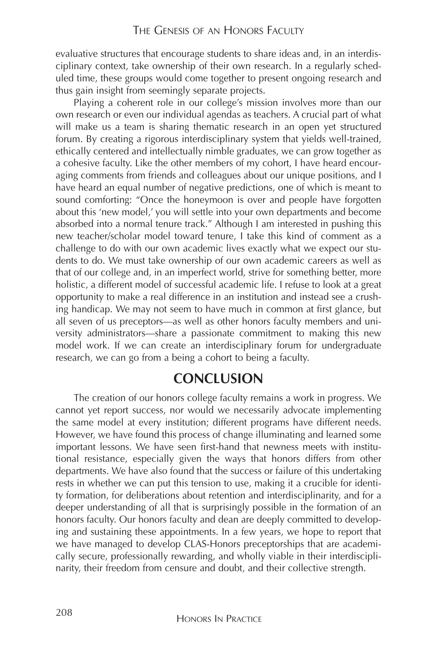evaluative structures that encourage students to share ideas and, in an interdisciplinary context, take ownership of their own research. In a regularly scheduled time, these groups would come together to present ongoing research and thus gain insight from seemingly separate projects.

Playing a coherent role in our college's mission involves more than our own research or even our individual agendas as teachers. A crucial part of what will make us a team is sharing thematic research in an open yet structured forum. By creating a rigorous interdisciplinary system that yields well-trained, ethically centered and intellectually nimble graduates, we can grow together as a cohesive faculty. Like the other members of my cohort, I have heard encouraging comments from friends and colleagues about our unique positions, and I have heard an equal number of negative predictions, one of which is meant to sound comforting: "Once the honeymoon is over and people have forgotten about this 'new model,' you will settle into your own departments and become absorbed into a normal tenure track." Although I am interested in pushing this new teacher/scholar model toward tenure, I take this kind of comment as a challenge to do with our own academic lives exactly what we expect our students to do. We must take ownership of our own academic careers as well as that of our college and, in an imperfect world, strive for something better, more holistic, a different model of successful academic life. I refuse to look at a great opportunity to make a real difference in an institution and instead see a crushing handicap. We may not seem to have much in common at first glance, but all seven of us preceptors—as well as other honors faculty members and university administrators—share a passionate commitment to making this new model work. If we can create an interdisciplinary forum for undergraduate research, we can go from a being a cohort to being a faculty.

#### **CONCLUSION**

The creation of our honors college faculty remains a work in progress. We cannot yet report success, nor would we necessarily advocate implementing the same model at every institution; different programs have different needs. However, we have found this process of change illuminating and learned some important lessons. We have seen first-hand that newness meets with institutional resistance, especially given the ways that honors differs from other departments. We have also found that the success or failure of this undertaking rests in whether we can put this tension to use, making it a crucible for identity formation, for deliberations about retention and interdisciplinarity, and for a deeper understanding of all that is surprisingly possible in the formation of an honors faculty. Our honors faculty and dean are deeply committed to developing and sustaining these appointments. In a few years, we hope to report that we have managed to develop CLAS-Honors preceptorships that are academically secure, professionally rewarding, and wholly viable in their interdisciplinarity, their freedom from censure and doubt, and their collective strength.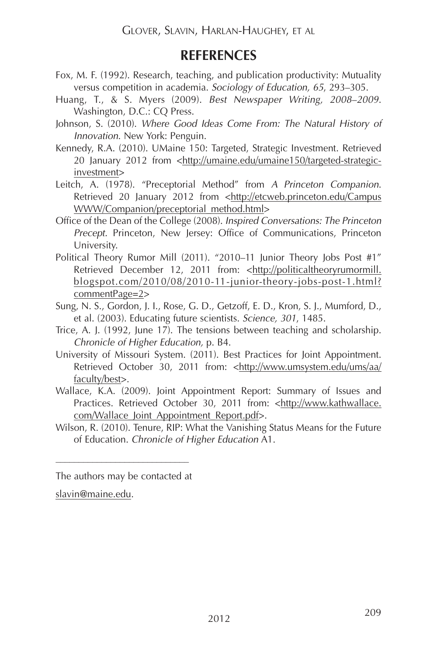### **REFERENCES**

- Fox, M. F. (1992). Research, teaching, and publication productivity: Mutuality versus competition in academia. *Sociology of Education, 65*, 293–305.
- Huang, T., & S. Myers (2009). *Best Newspaper Writing, 2008–2009*. Washington, D.C.: CQ Press.
- Johnson, S. (2010). *Where Good Ideas Come From: The Natural History of Innovation*. New York: Penguin.
- Kennedy, R.A. (2010). UMaine 150: Targeted, Strategic Investment. Retrieved 20 January 2012 from <http://umaine.edu/umaine150/targeted-strategicinvestment>
- Leitch, A. (1978). "Preceptorial Method" from *A Princeton Companion*. Retrieved 20 January 2012 from <http://etcweb.princeton.edu/Campus WWW/Companion/preceptorial\_method.html>
- Office of the Dean of the College (2008). *Inspired Conversations: The Princeton Precept.* Princeton, New Jersey: Office of Communications, Princeton University.
- Political Theory Rumor Mill (2011). "2010–11 Junior Theory Jobs Post #1" Retrieved December 12, 2011 from: <http://politicaltheoryrumormill. blogspot.com/2010/08/2010-11-junior-theory-jobs-post-1.html? commentPage=2>
- Sung, N. S., Gordon, J. I., Rose, G. D., Getzoff, E. D., Kron, S. J., Mumford, D., et al. (2003). Educating future scientists. *Science, 301*, 1485.
- Trice, A. J. (1992, June 17). The tensions between teaching and scholarship. *Chronicle of Higher Education,* p. B4.
- University of Missouri System. (2011). Best Practices for Joint Appointment. Retrieved October 30, 2011 from: <http://www.umsystem.edu/ums/aa/ faculty/best>.
- Wallace, K.A. (2009). Joint Appointment Report: Summary of Issues and Practices. Retrieved October 30, 2011 from: <http://www.kathwallace. com/Wallace\_Joint\_Appointment\_Report.pdf>.
- Wilson, R. (2010). Tenure, RIP: What the Vanishing Status Means for the Future of Education. *Chronicle of Higher Education* A1.

\_\_\_\_\_\_\_\_\_\_\_\_\_\_\_\_\_\_\_\_\_\_\_\_\_\_\_\_\_ The authors may be contacted at

slavin@maine.edu.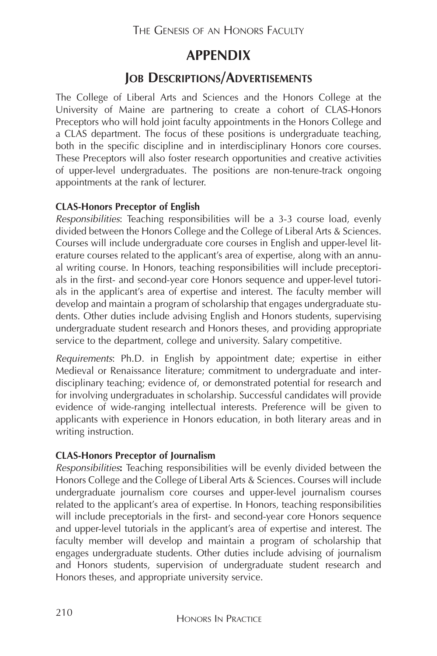### **APPENDIX**

### **JOB DESCRIPTIONS/ADVERTISEMENTS**

The College of Liberal Arts and Sciences and the Honors College at the University of Maine are partnering to create a cohort of CLAS-Honors Preceptors who will hold joint faculty appointments in the Honors College and a CLAS department. The focus of these positions is undergraduate teaching, both in the specific discipline and in interdisciplinary Honors core courses. These Preceptors will also foster research opportunities and creative activities of upper-level undergraduates. The positions are non-tenure-track ongoing appointments at the rank of lecturer.

#### **CLAS-Honors Preceptor of English**

*Responsibilities*: Teaching responsibilities will be a 3-3 course load, evenly divided between the Honors College and the College of Liberal Arts & Sciences. Courses will include undergraduate core courses in English and upper-level literature courses related to the applicant's area of expertise, along with an annual writing course. In Honors, teaching responsibilities will include preceptorials in the first- and second-year core Honors sequence and upper-level tutorials in the applicant's area of expertise and interest. The faculty member will develop and maintain a program of scholarship that engages undergraduate students. Other duties include advising English and Honors students, supervising undergraduate student research and Honors theses, and providing appropriate service to the department, college and university. Salary competitive.

*Requirements*: Ph.D. in English by appointment date; expertise in either Medieval or Renaissance literature; commitment to undergraduate and interdisciplinary teaching; evidence of, or demonstrated potential for research and for involving undergraduates in scholarship. Successful candidates will provide evidence of wide-ranging intellectual interests. Preference will be given to applicants with experience in Honors education, in both literary areas and in writing instruction.

#### **CLAS-Honors Preceptor of Journalism**

*Responsibilities***:** Teaching responsibilities will be evenly divided between the Honors College and the College of Liberal Arts & Sciences. Courses will include undergraduate journalism core courses and upper-level journalism courses related to the applicant's area of expertise. In Honors, teaching responsibilities will include preceptorials in the first- and second-year core Honors sequence and upper-level tutorials in the applicant's area of expertise and interest. The faculty member will develop and maintain a program of scholarship that engages undergraduate students. Other duties include advising of journalism and Honors students, supervision of undergraduate student research and Honors theses, and appropriate university service.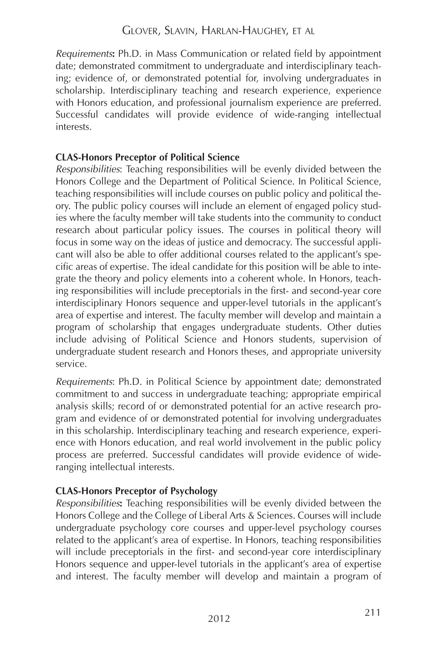*Requirements***:** Ph.D. in Mass Communication or related field by appointment date; demonstrated commitment to undergraduate and interdisciplinary teaching; evidence of, or demonstrated potential for, involving undergraduates in scholarship. Interdisciplinary teaching and research experience, experience with Honors education, and professional journalism experience are preferred. Successful candidates will provide evidence of wide-ranging intellectual interests.

#### **CLAS-Honors Preceptor of Political Science**

*Responsibilities*: Teaching responsibilities will be evenly divided between the Honors College and the Department of Political Science. In Political Science, teaching responsibilities will include courses on public policy and political theory. The public policy courses will include an element of engaged policy studies where the faculty member will take students into the community to conduct research about particular policy issues. The courses in political theory will focus in some way on the ideas of justice and democracy. The successful applicant will also be able to offer additional courses related to the applicant's specific areas of expertise. The ideal candidate for this position will be able to integrate the theory and policy elements into a coherent whole. In Honors, teaching responsibilities will include preceptorials in the first- and second-year core interdisciplinary Honors sequence and upper-level tutorials in the applicant's area of expertise and interest. The faculty member will develop and maintain a program of scholarship that engages undergraduate students. Other duties include advising of Political Science and Honors students, supervision of undergraduate student research and Honors theses, and appropriate university service.

*Requirements*: Ph.D. in Political Science by appointment date; demonstrated commitment to and success in undergraduate teaching; appropriate empirical analysis skills; record of or demonstrated potential for an active research program and evidence of or demonstrated potential for involving undergraduates in this scholarship. Interdisciplinary teaching and research experience, experience with Honors education, and real world involvement in the public policy process are preferred. Successful candidates will provide evidence of wideranging intellectual interests.

#### **CLAS-Honors Preceptor of Psychology**

*Responsibilities***:** Teaching responsibilities will be evenly divided between the Honors College and the College of Liberal Arts & Sciences. Courses will include undergraduate psychology core courses and upper-level psychology courses related to the applicant's area of expertise. In Honors, teaching responsibilities will include preceptorials in the first- and second-year core interdisciplinary Honors sequence and upper-level tutorials in the applicant's area of expertise and interest. The faculty member will develop and maintain a program of